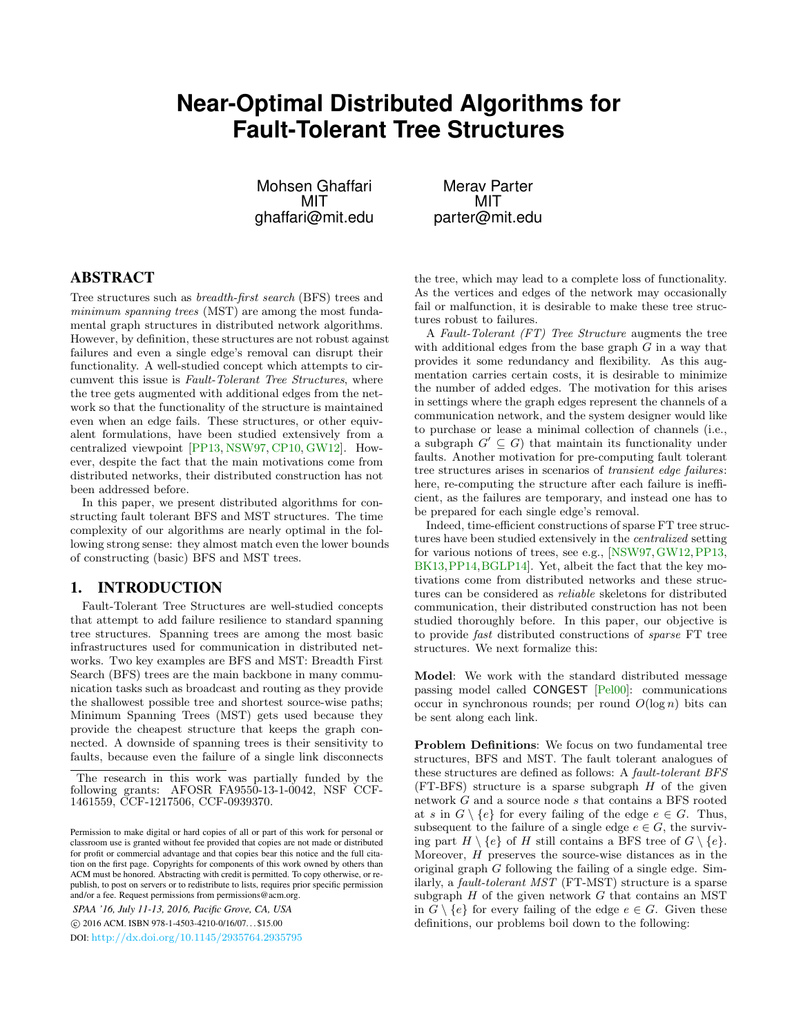# **Near-Optimal Distributed Algorithms for Fault-Tolerant Tree Structures**

Mohsen Ghaffari MIT ghaffari@mit.edu

Merav Parter MIT parter@mit.edu

## ABSTRACT

Tree structures such as breadth-first search (BFS) trees and minimum spanning trees (MST) are among the most fundamental graph structures in distributed network algorithms. However, by definition, these structures are not robust against failures and even a single edge's removal can disrupt their functionality. A well-studied concept which attempts to circumvent this issue is Fault-Tolerant Tree Structures, where the tree gets augmented with additional edges from the network so that the functionality of the structure is maintained even when an edge fails. These structures, or other equivalent formulations, have been studied extensively from a centralized viewpoint [\[PP13,](#page-9-0) [NSW97,](#page-9-1) [CP10,](#page-8-0) [GW12\]](#page-8-1). However, despite the fact that the main motivations come from distributed networks, their distributed construction has not been addressed before.

In this paper, we present distributed algorithms for constructing fault tolerant BFS and MST structures. The time complexity of our algorithms are nearly optimal in the following strong sense: they almost match even the lower bounds of constructing (basic) BFS and MST trees.

#### 1. INTRODUCTION

Fault-Tolerant Tree Structures are well-studied concepts that attempt to add failure resilience to standard spanning tree structures. Spanning trees are among the most basic infrastructures used for communication in distributed networks. Two key examples are BFS and MST: Breadth First Search (BFS) trees are the main backbone in many communication tasks such as broadcast and routing as they provide the shallowest possible tree and shortest source-wise paths; Minimum Spanning Trees (MST) gets used because they provide the cheapest structure that keeps the graph connected. A downside of spanning trees is their sensitivity to faults, because even the failure of a single link disconnects

*SPAA '16, July 11-13, 2016, Pacific Grove, CA, USA*

c 2016 ACM. ISBN 978-1-4503-4210-0/16/07. . . \$15.00

DOI: <http://dx.doi.org/10.1145/2935764.2935795>

the tree, which may lead to a complete loss of functionality. As the vertices and edges of the network may occasionally fail or malfunction, it is desirable to make these tree structures robust to failures.

A Fault-Tolerant (FT) Tree Structure augments the tree with additional edges from the base graph  $G$  in a way that provides it some redundancy and flexibility. As this augmentation carries certain costs, it is desirable to minimize the number of added edges. The motivation for this arises in settings where the graph edges represent the channels of a communication network, and the system designer would like to purchase or lease a minimal collection of channels (i.e., a subgraph  $G' \subseteq G$ ) that maintain its functionality under faults. Another motivation for pre-computing fault tolerant tree structures arises in scenarios of transient edge failures: here, re-computing the structure after each failure is inefficient, as the failures are temporary, and instead one has to be prepared for each single edge's removal.

Indeed, time-efficient constructions of sparse FT tree structures have been studied extensively in the centralized setting for various notions of trees, see e.g., [\[NSW97,](#page-9-1) [GW12,](#page-8-1)[PP13,](#page-9-0) [BK13,](#page-8-2)[PP14,](#page-9-2)[BGLP14\]](#page-8-3). Yet, albeit the fact that the key motivations come from distributed networks and these structures can be considered as reliable skeletons for distributed communication, their distributed construction has not been studied thoroughly before. In this paper, our objective is to provide fast distributed constructions of sparse FT tree structures. We next formalize this:

Model: We work with the standard distributed message passing model called CONGEST [\[Pel00\]](#page-9-3): communications occur in synchronous rounds; per round  $O(\log n)$  bits can be sent along each link.

Problem Definitions: We focus on two fundamental tree structures, BFS and MST. The fault tolerant analogues of these structures are defined as follows: A fault-tolerant BFS  $(FT-BFS)$  structure is a sparse subgraph  $H$  of the given network G and a source node s that contains a BFS rooted at s in  $G \setminus \{e\}$  for every failing of the edge  $e \in G$ . Thus, subsequent to the failure of a single edge  $e \in G$ , the surviving part  $H \setminus \{e\}$  of H still contains a BFS tree of  $G \setminus \{e\}.$ Moreover, H preserves the source-wise distances as in the original graph  $G$  following the failing of a single edge. Similarly, a fault-tolerant MST (FT-MST) structure is a sparse subgraph  $H$  of the given network  $G$  that contains an MST in  $G \setminus \{e\}$  for every failing of the edge  $e \in G$ . Given these definitions, our problems boil down to the following:

The research in this work was partially funded by the following grants: AFOSR FA9550-13-1-0042, NSF CCF-1461559, CCF-1217506, CCF-0939370.

Permission to make digital or hard copies of all or part of this work for personal or classroom use is granted without fee provided that copies are not made or distributed for profit or commercial advantage and that copies bear this notice and the full citation on the first page. Copyrights for components of this work owned by others than ACM must be honored. Abstracting with credit is permitted. To copy otherwise, or republish, to post on servers or to redistribute to lists, requires prior specific permission and/or a fee. Request permissions from permissions@acm.org.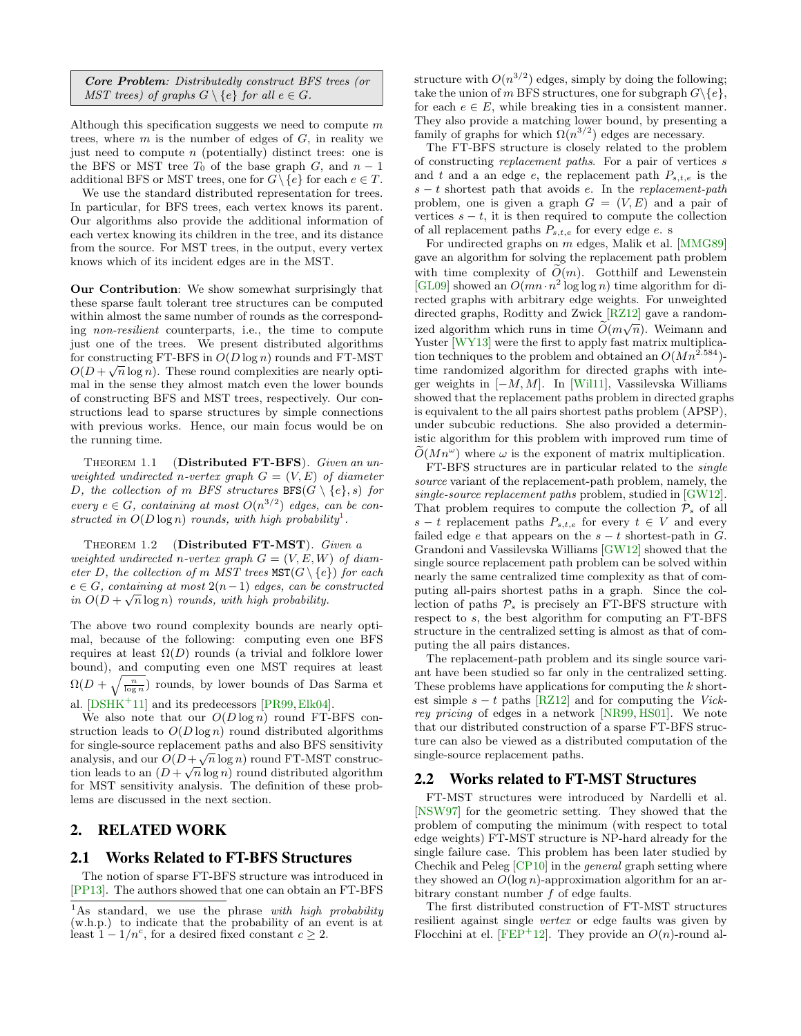| <b>Core Problem:</b> Distributedly construct BFS trees (or   |  |  |  |
|--------------------------------------------------------------|--|--|--|
| MST trees) of graphs $G \setminus \{e\}$ for all $e \in G$ . |  |  |  |

Although this specification suggests we need to compute  $m$ trees, where  $m$  is the number of edges of  $G$ , in reality we just need to compute  $n$  (potentially) distinct trees: one is the BFS or MST tree  $T_0$  of the base graph  $G$ , and  $n-1$ additional BFS or MST trees, one for  $G \setminus \{e\}$  for each  $e \in T$ .

We use the standard distributed representation for trees. In particular, for BFS trees, each vertex knows its parent. Our algorithms also provide the additional information of each vertex knowing its children in the tree, and its distance from the source. For MST trees, in the output, every vertex knows which of its incident edges are in the MST.

Our Contribution: We show somewhat surprisingly that these sparse fault tolerant tree structures can be computed within almost the same number of rounds as the corresponding non-resilient counterparts, i.e., the time to compute just one of the trees. We present distributed algorithms for constructing FT-BFS in  $O(D \log n)$  rounds and FT-MST  $O(D + \sqrt{n} \log n)$ . These round complexities are nearly optimal in the sense they almost match even the lower bounds of constructing BFS and MST trees, respectively. Our constructions lead to sparse structures by simple connections with previous works. Hence, our main focus would be on the running time.

THEOREM 1.1 (Distributed FT-BFS). Given an unweighted undirected n-vertex graph  $G = (V, E)$  of diameter D, the collection of m BFS structures  $BFS(G \setminus \{e\}, s)$  for every  $e \in G$ , containing at most  $O(n^{3/2})$  edges, can be constructed in  $O(D \log n)$  rounds, with high probability<sup>[1](#page-1-0)</sup>.

THEOREM 1.2 (Distributed FT-MST). Given a weighted undirected n-vertex graph  $G = (V, E, W)$  of diameter D, the collection of m MST trees  $\text{MST}(G \setminus \{e\})$  for each  $e \in G$ , containing at most  $2(n-1)$  edges, can be constructed in  $O(D + \sqrt{n} \log n)$  rounds, with high probability.

The above two round complexity bounds are nearly optimal, because of the following: computing even one BFS requires at least  $\Omega(D)$  rounds (a trivial and folklore lower bound), and computing even one MST requires at least  $\Omega(D+\sqrt{\frac{n}{\log n}})$  rounds, by lower bounds of Das Sarma et al.  $[DSHK+11]$  $[DSHK+11]$  and its predecessors  $[PR99, Elk04]$  $[PR99, Elk04]$  $[PR99, Elk04]$ .

We also note that our  $O(D \log n)$  round FT-BFS construction leads to  $O(D \log n)$  round distributed algorithms for single-source replacement paths and also BFS sensitivity analysis, and our  $O(D + \sqrt{n} \log n)$  round FT-MST construction leads to an  $(D + \sqrt{n} \log n)$  round distributed algorithm for MST sensitivity analysis. The definition of these problems are discussed in the next section.

### 2. RELATED WORK

#### 2.1 Works Related to FT-BFS Structures

The notion of sparse FT-BFS structure was introduced in [\[PP13\]](#page-9-0). The authors showed that one can obtain an FT-BFS

structure with  $O(n^{3/2})$  edges, simply by doing the following; take the union of m BFS structures, one for subgraph  $G\backslash\{e\}$ , for each  $e \in E$ , while breaking ties in a consistent manner. They also provide a matching lower bound, by presenting a family of graphs for which  $\Omega(n^{3/2})$  edges are necessary.

The FT-BFS structure is closely related to the problem of constructing replacement paths. For a pair of vertices s and t and a an edge e, the replacement path  $P_{s,t,e}$  is the  $s - t$  shortest path that avoids e. In the replacement-path problem, one is given a graph  $G = (V, E)$  and a pair of vertices  $s - t$ , it is then required to compute the collection of all replacement paths  $P_{s,t,e}$  for every edge e. s

For undirected graphs on m edges, Malik et al. [\[MMG89\]](#page-9-5) gave an algorithm for solving the replacement path problem with time complexity of  $\tilde{O}(m)$ . Gotthilf and Lewenstein [\[GL09\]](#page-8-6) showed an  $O(mn \cdot n^2 \log \log n)$  time algorithm for directed graphs with arbitrary edge weights. For unweighted directed graphs, Roditty and Zwick [\[RZ12\]](#page-9-6) gave a randomized algorithm which runs in time  $\tilde{O}(m\sqrt{n})$ . Weimann and Yuster [\[WY13\]](#page-9-7) were the first to apply fast matrix multiplication techniques to the problem and obtained an  $O(Mn^{2.584})$ time randomized algorithm for directed graphs with integer weights in  $[-M, M]$ . In [\[Wil11\]](#page-9-8), Vassilevska Williams showed that the replacement paths problem in directed graphs is equivalent to the all pairs shortest paths problem (APSP), under subcubic reductions. She also provided a deterministic algorithm for this problem with improved rum time of  $\widetilde{O}(Mn^{\omega})$  where  $\omega$  is the exponent of matrix multiplication.

FT-BFS structures are in particular related to the single source variant of the replacement-path problem, namely, the single-source replacement paths problem, studied in [\[GW12\]](#page-8-1). That problem requires to compute the collection  $P_s$  of all s − t replacement paths  $P_{s,t,e}$  for every  $t \in V$  and every failed edge e that appears on the  $s - t$  shortest-path in G. Grandoni and Vassilevska Williams [\[GW12\]](#page-8-1) showed that the single source replacement path problem can be solved within nearly the same centralized time complexity as that of computing all-pairs shortest paths in a graph. Since the collection of paths  $P_s$  is precisely an FT-BFS structure with respect to s, the best algorithm for computing an FT-BFS structure in the centralized setting is almost as that of computing the all pairs distances.

The replacement-path problem and its single source variant have been studied so far only in the centralized setting. These problems have applications for computing the k shortest simple  $s - t$  paths [\[RZ12\]](#page-9-6) and for computing the Vickrey pricing of edges in a network [\[NR99,](#page-9-9) [HS01\]](#page-9-10). We note that our distributed construction of a sparse FT-BFS structure can also be viewed as a distributed computation of the single-source replacement paths.

#### 2.2 Works related to FT-MST Structures

FT-MST structures were introduced by Nardelli et al. [\[NSW97\]](#page-9-1) for the geometric setting. They showed that the problem of computing the minimum (with respect to total edge weights) FT-MST structure is NP-hard already for the single failure case. This problem has been later studied by Chechik and Peleg [\[CP10\]](#page-8-0) in the general graph setting where they showed an  $O(\log n)$ -approximation algorithm for an arbitrary constant number f of edge faults.

The first distributed construction of FT-MST structures resilient against single vertex or edge faults was given by Flocchini at el. [\[FEP](#page-8-7)<sup>+</sup>12]. They provide an  $O(n)$ -round al-

<span id="page-1-0"></span> $1<sup>1</sup>$ As standard, we use the phrase with high probability (w.h.p.) to indicate that the probability of an event is at least  $1 - 1/n^c$ , for a desired fixed constant  $c \geq 2$ .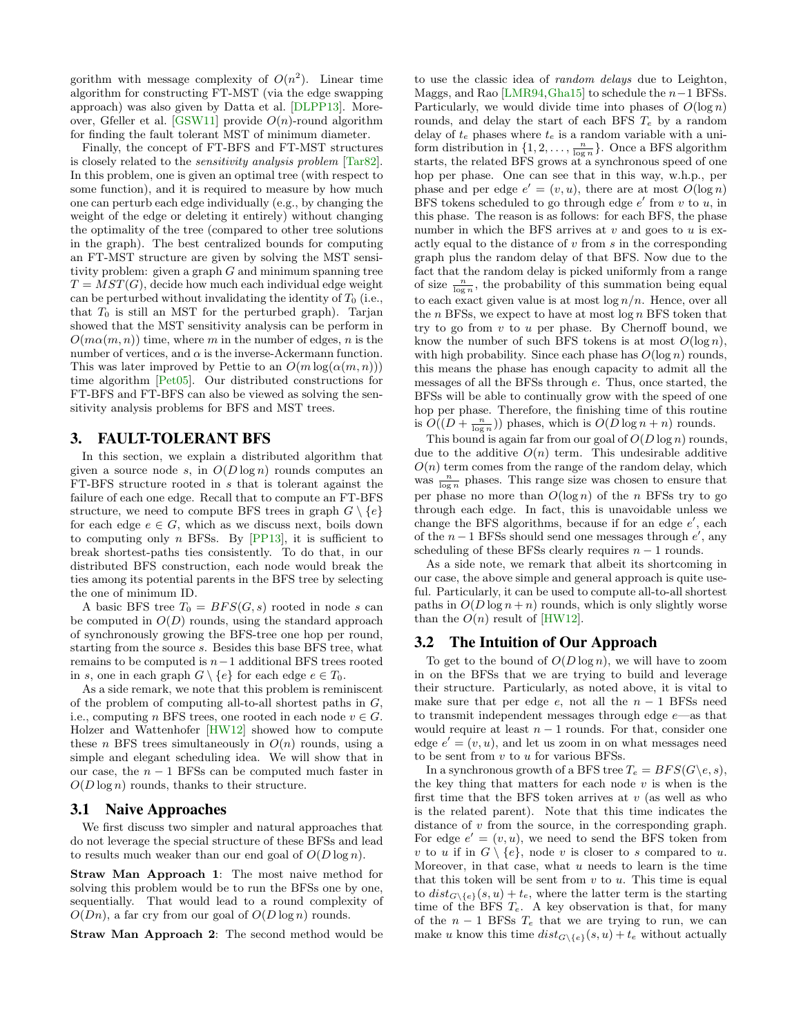gorithm with message complexity of  $O(n^2)$ . Linear time algorithm for constructing FT-MST (via the edge swapping approach) was also given by Datta et al. [\[DLPP13\]](#page-8-8). More-over, Gfeller et al. [\[GSW11\]](#page-8-9) provide  $O(n)$ -round algorithm for finding the fault tolerant MST of minimum diameter.

Finally, the concept of FT-BFS and FT-MST structures is closely related to the sensitivity analysis problem [\[Tar82\]](#page-9-11). In this problem, one is given an optimal tree (with respect to some function), and it is required to measure by how much one can perturb each edge individually (e.g., by changing the weight of the edge or deleting it entirely) without changing the optimality of the tree (compared to other tree solutions in the graph). The best centralized bounds for computing an FT-MST structure are given by solving the MST sensitivity problem: given a graph  $G$  and minimum spanning tree  $T = MST(G)$ , decide how much each individual edge weight can be perturbed without invalidating the identity of  $T_0$  (i.e., that  $T_0$  is still an MST for the perturbed graph). Tarjan showed that the MST sensitivity analysis can be perform in  $O(m\alpha(m, n))$  time, where m in the number of edges, n is the number of vertices, and  $\alpha$  is the inverse-Ackermann function. This was later improved by Pettie to an  $O(m \log(\alpha(m, n)))$ time algorithm [\[Pet05\]](#page-9-12). Our distributed constructions for FT-BFS and FT-BFS can also be viewed as solving the sensitivity analysis problems for BFS and MST trees.

#### 3. FAULT-TOLERANT BFS

In this section, we explain a distributed algorithm that given a source node s, in  $O(D \log n)$  rounds computes an FT-BFS structure rooted in s that is tolerant against the failure of each one edge. Recall that to compute an FT-BFS structure, we need to compute BFS trees in graph  $G \setminus \{e\}$ for each edge  $e \in G$ , which as we discuss next, boils down to computing only  $n$  BFSs. By [\[PP13\]](#page-9-0), it is sufficient to break shortest-paths ties consistently. To do that, in our distributed BFS construction, each node would break the ties among its potential parents in the BFS tree by selecting the one of minimum ID.

A basic BFS tree  $T_0 = BFS(G, s)$  rooted in node s can be computed in  $O(D)$  rounds, using the standard approach of synchronously growing the BFS-tree one hop per round, starting from the source s. Besides this base BFS tree, what remains to be computed is  $n-1$  additional BFS trees rooted in s, one in each graph  $G \setminus \{e\}$  for each edge  $e \in T_0$ .

As a side remark, we note that this problem is reminiscent of the problem of computing all-to-all shortest paths in  $G$ , i.e., computing n BFS trees, one rooted in each node  $v \in G$ . Holzer and Wattenhofer [\[HW12\]](#page-9-13) showed how to compute these *n* BFS trees simultaneously in  $O(n)$  rounds, using a simple and elegant scheduling idea. We will show that in our case, the  $n - 1$  BFSs can be computed much faster in  $O(D \log n)$  rounds, thanks to their structure.

#### 3.1 Naive Approaches

We first discuss two simpler and natural approaches that do not leverage the special structure of these BFSs and lead to results much weaker than our end goal of  $O(D \log n)$ .

Straw Man Approach 1: The most naive method for solving this problem would be to run the BFSs one by one, sequentially. That would lead to a round complexity of  $O(Dn)$ , a far cry from our goal of  $O(D \log n)$  rounds.

Straw Man Approach 2: The second method would be

to use the classic idea of random delays due to Leighton, Maggs, and Rao  $[LMR94, Gha15]$  $[LMR94, Gha15]$  $[LMR94, Gha15]$  to schedule the  $n-1$  BFSs. Particularly, we would divide time into phases of  $O(\log n)$ rounds, and delay the start of each BFS  $T_e$  by a random delay of  $t_e$  phases where  $t_e$  is a random variable with a uniform distribution in  $\{1, 2, \ldots, \frac{n}{\log n}\}$ . Once a BFS algorithm starts, the related BFS grows at a synchronous speed of one hop per phase. One can see that in this way, w.h.p., per phase and per edge  $e' = (v, u)$ , there are at most  $O(\log n)$ BFS tokens scheduled to go through edge  $e'$  from  $v$  to  $u$ , in this phase. The reason is as follows: for each BFS, the phase number in which the BFS arrives at  $v$  and goes to  $u$  is exactly equal to the distance of  $v$  from  $s$  in the corresponding graph plus the random delay of that BFS. Now due to the fact that the random delay is picked uniformly from a range of size  $\frac{n}{\log n}$ , the probability of this summation being equal to each exact given value is at most  $\log n/n$ . Hence, over all the  $n$  BFSs, we expect to have at most  $\log n$  BFS token that try to go from  $v$  to  $u$  per phase. By Chernoff bound, we know the number of such BFS tokens is at most  $O(\log n)$ , with high probability. Since each phase has  $O(\log n)$  rounds, this means the phase has enough capacity to admit all the messages of all the BFSs through e. Thus, once started, the BFSs will be able to continually grow with the speed of one hop per phase. Therefore, the finishing time of this routine is  $O((D + \frac{n}{\log n}))$  phases, which is  $O(D \log n + n)$  rounds.

This bound is again far from our goal of  $O(D \log n)$  rounds, due to the additive  $O(n)$  term. This undesirable additive  $O(n)$  term comes from the range of the random delay, which was  $\frac{n}{\log n}$  phases. This range size was chosen to ensure that per phase no more than  $O(\log n)$  of the n BFSs try to go through each edge. In fact, this is unavoidable unless we change the BFS algorithms, because if for an edge  $e'$ , each of the  $n-1$  BFSs should send one messages through  $e'$ , any scheduling of these BFSs clearly requires  $n - 1$  rounds.

As a side note, we remark that albeit its shortcoming in our case, the above simple and general approach is quite useful. Particularly, it can be used to compute all-to-all shortest paths in  $O(D \log n + n)$  rounds, which is only slightly worse than the  $O(n)$  result of [\[HW12\]](#page-9-13).

#### 3.2 The Intuition of Our Approach

To get to the bound of  $O(D \log n)$ , we will have to zoom in on the BFSs that we are trying to build and leverage their structure. Particularly, as noted above, it is vital to make sure that per edge e, not all the  $n-1$  BFSs need to transmit independent messages through edge  $e$ —as that would require at least  $n - 1$  rounds. For that, consider one edge  $e' = (v, u)$ , and let us zoom in on what messages need to be sent from  $v$  to  $u$  for various BFSs.

In a synchronous growth of a BFS tree  $T_e = BFS(G\backslash e, s)$ , the key thing that matters for each node  $v$  is when is the first time that the BFS token arrives at  $v$  (as well as who is the related parent). Note that this time indicates the distance of v from the source, in the corresponding graph. For edge  $e' = (v, u)$ , we need to send the BFS token from v to u if in  $G \setminus \{e\}$ , node v is closer to s compared to u. Moreover, in that case, what  $u$  needs to learn is the time that this token will be sent from  $v$  to  $u$ . This time is equal to  $dist_{G\setminus\{e\}}(s, u) + t_e$ , where the latter term is the starting time of the BFS  $T_e$ . A key observation is that, for many of the  $n - 1$  BFSs  $T_e$  that we are trying to run, we can make u know this time  $dist_{G\setminus\{e\}}(s, u) + t_e$  without actually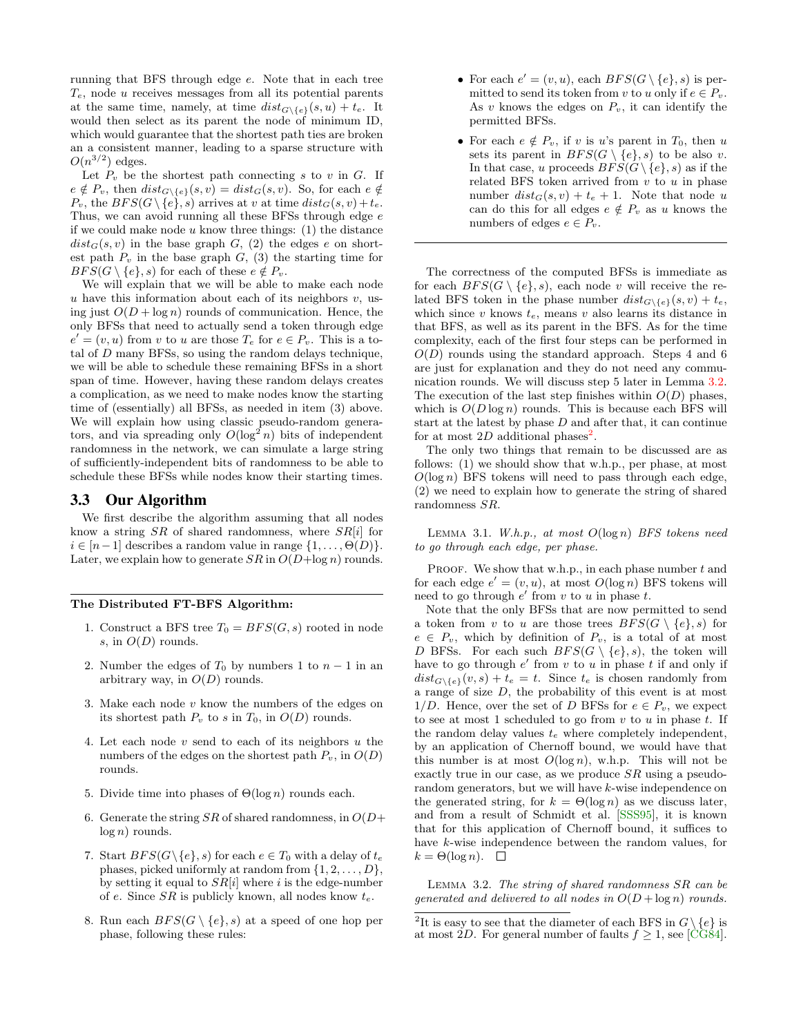running that BFS through edge e. Note that in each tree  $T_e$ , node u receives messages from all its potential parents at the same time, namely, at time  $dist_{G \setminus \{e\}}(s, u) + t_e$ . It would then select as its parent the node of minimum ID, which would guarantee that the shortest path ties are broken an a consistent manner, leading to a sparse structure with  $O(n^{3/2})$  edges.

Let  $P_v$  be the shortest path connecting s to v in G. If  $e \notin P_v$ , then  $dist_{G \setminus \{e\}}(s, v) = dist_G(s, v)$ . So, for each  $e \notin$  $P_v$ , the  $BFS(G \setminus \{e\}, s)$  arrives at v at time  $dist_G(s, v) + t_e$ . Thus, we can avoid running all these BFSs through edge e if we could make node  $u$  know three things: (1) the distance  $dist_G(s, v)$  in the base graph  $G$ , (2) the edges e on shortest path  $P_v$  in the base graph  $G<sub>v</sub>$ , (3) the starting time for  $BFS(G \setminus \{e\}, s)$  for each of these  $e \notin P_v$ .

We will explain that we will be able to make each node  $u$  have this information about each of its neighbors  $v$ , using just  $O(D + \log n)$  rounds of communication. Hence, the only BFSs that need to actually send a token through edge  $e' = (v, u)$  from v to u are those  $T_e$  for  $e \in P_v$ . This is a total of D many BFSs, so using the random delays technique, we will be able to schedule these remaining BFSs in a short span of time. However, having these random delays creates a complication, as we need to make nodes know the starting time of (essentially) all BFSs, as needed in item (3) above. We will explain how using classic pseudo-random generators, and via spreading only  $O(\log^2 n)$  bits of independent randomness in the network, we can simulate a large string of sufficiently-independent bits of randomness to be able to schedule these BFSs while nodes know their starting times.

#### 3.3 Our Algorithm

We first describe the algorithm assuming that all nodes know a string  $SR$  of shared randomness, where  $SR[i]$  for  $i \in [n-1]$  describes a random value in range  $\{1, \ldots, \Theta(D)\}.$ Later, we explain how to generate  $SR$  in  $O(D + \log n)$  rounds.

#### The Distributed FT-BFS Algorithm:

- 1. Construct a BFS tree  $T_0 = BFS(G, s)$  rooted in node s, in  $O(D)$  rounds.
- 2. Number the edges of  $T_0$  by numbers 1 to  $n-1$  in an arbitrary way, in  $O(D)$  rounds.
- 3. Make each node  $v$  know the numbers of the edges on its shortest path  $P_v$  to s in  $T_0$ , in  $O(D)$  rounds.
- 4. Let each node  $v$  send to each of its neighbors  $u$  the numbers of the edges on the shortest path  $P_v$ , in  $O(D)$ rounds.
- 5. Divide time into phases of  $\Theta(\log n)$  rounds each.
- 6. Generate the string  $SR$  of shared randomness, in  $O(D+)$  $log n)$  rounds.
- 7. Start  $BFS(G\backslash\{e\}, s)$  for each  $e \in T_0$  with a delay of  $t_e$ phases, picked uniformly at random from  $\{1, 2, \ldots, D\}$ , by setting it equal to  $SR[i]$  where i is the edge-number of e. Since  $SR$  is publicly known, all nodes know  $t_e$ .
- 8. Run each  $BFS(G \setminus \{e\}, s)$  at a speed of one hop per phase, following these rules:
- For each  $e' = (v, u)$ , each  $BFS(G \setminus \{e\}, s)$  is permitted to send its token from v to u only if  $e \in P_v$ . As  $v$  knows the edges on  $P_v$ , it can identify the permitted BFSs.
- For each  $e \notin P_v$ , if v is u's parent in  $T_0$ , then u sets its parent in  $BFS(G \setminus \{e\}, s)$  to be also v. In that case, u proceeds  $BFS(G \setminus \{e\}, s)$  as if the related BFS token arrived from  $v$  to  $u$  in phase number  $dist_G(s, v) + t_e + 1$ . Note that node u can do this for all edges  $e \notin P_v$  as u knows the numbers of edges  $e \in P_v$ .

The correctness of the computed BFSs is immediate as for each  $BFS(G \setminus \{e\}, s)$ , each node v will receive the related BFS token in the phase number  $dist_{G\setminus\{e\}}(s, v) + t_e$ , which since v knows  $t_e$ , means v also learns its distance in that BFS, as well as its parent in the BFS. As for the time complexity, each of the first four steps can be performed in  $O(D)$  rounds using the standard approach. Steps 4 and 6 are just for explanation and they do not need any communication rounds. We will discuss step 5 later in Lemma [3.2.](#page-3-0) The execution of the last step finishes within  $O(D)$  phases, which is  $O(D \log n)$  rounds. This is because each BFS will start at the latest by phase  $D$  and after that, it can continue for at most  $2D$  $2D$  additional phases<sup>2</sup>.

The only two things that remain to be discussed are as follows: (1) we should show that w.h.p., per phase, at most  $O(\log n)$  BFS tokens will need to pass through each edge, (2) we need to explain how to generate the string of shared randomness SR.

LEMMA 3.1. W.h.p., at most  $O(\log n)$  BFS tokens need to go through each edge, per phase.

PROOF. We show that w.h.p., in each phase number  $t$  and for each edge  $e' = (v, u)$ , at most  $O(\log n)$  BFS tokens will need to go through  $e'$  from  $v$  to  $u$  in phase  $t$ .

Note that the only BFSs that are now permitted to send a token from v to u are those trees  $BFS(G \setminus \{e\}, s)$  for  $e \in P_v$ , which by definition of  $P_v$ , is a total of at most D BFSs. For each such  $BFS(G \setminus \{e\}, s)$ , the token will have to go through  $e'$  from  $v$  to  $u$  in phase  $t$  if and only if  $dist_{G\setminus\{e\}}(v, s) + t_e = t$ . Since  $t_e$  is chosen randomly from a range of size D, the probability of this event is at most 1/D. Hence, over the set of D BFSs for  $e \in P_v$ , we expect to see at most 1 scheduled to go from  $v$  to  $u$  in phase  $t$ . If the random delay values  $t_e$  where completely independent, by an application of Chernoff bound, we would have that this number is at most  $O(\log n)$ , w.h.p. This will not be exactly true in our case, as we produce SR using a pseudorandom generators, but we will have k-wise independence on the generated string, for  $k = \Theta(\log n)$  as we discuss later, and from a result of Schmidt et al. [\[SSS95\]](#page-9-15), it is known that for this application of Chernoff bound, it suffices to have k-wise independence between the random values, for  $k = \Theta(\log n). \quad \Box$ 

<span id="page-3-0"></span>Lemma 3.2. The string of shared randomness SR can be generated and delivered to all nodes in  $O(D + \log n)$  rounds.

<span id="page-3-1"></span><sup>&</sup>lt;sup>2</sup>It is easy to see that the diameter of each BFS in  $G \setminus \{e\}$  is at most 2D. For general number of faults  $f \geq 1$ , see [\[CG84\]](#page-8-11).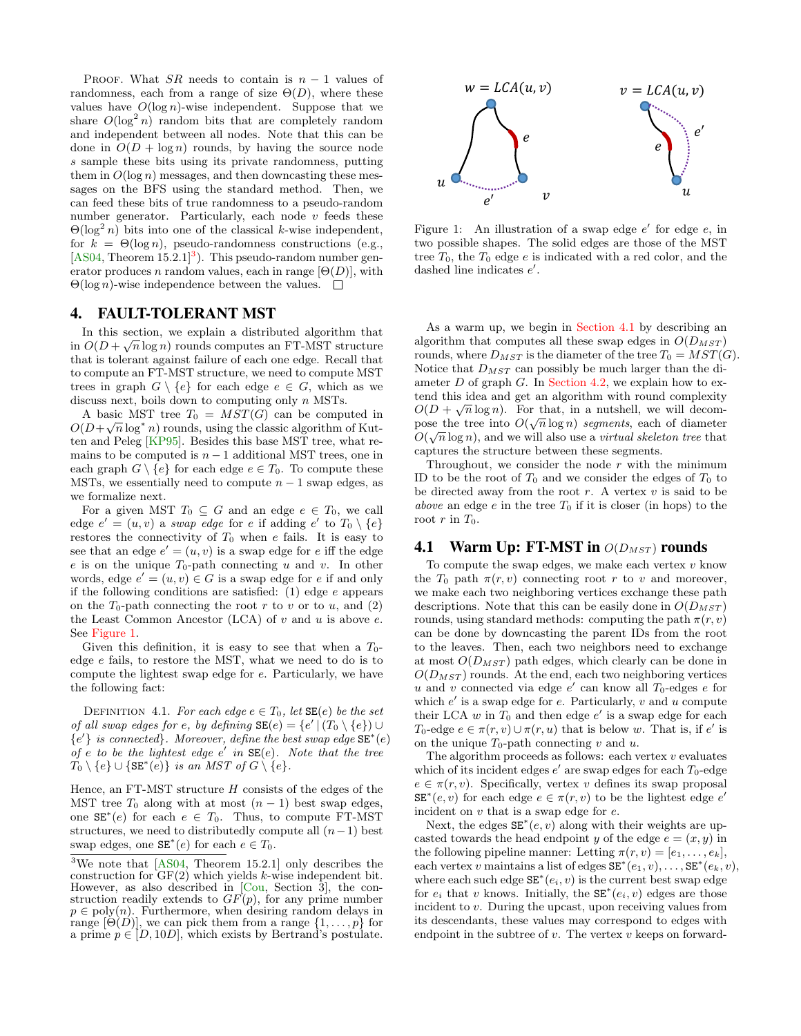PROOF. What SR needs to contain is  $n-1$  values of randomness, each from a range of size  $\Theta(D)$ , where these values have  $O(\log n)$ -wise independent. Suppose that we share  $O(\log^2 n)$  random bits that are completely random and independent between all nodes. Note that this can be done in  $O(D + \log n)$  rounds, by having the source node s sample these bits using its private randomness, putting them in  $O(\log n)$  messages, and then downcasting these messages on the BFS using the standard method. Then, we can feed these bits of true randomness to a pseudo-random number generator. Particularly, each node  $v$  feeds these  $\Theta(\log^2 n)$  bits into one of the classical k-wise independent, for  $k = \Theta(\log n)$ , pseudo-randomness constructions (e.g.,  $[AS04, Theorem 15.2.1]<sup>3</sup>$  $[AS04, Theorem 15.2.1]<sup>3</sup>$  $[AS04, Theorem 15.2.1]<sup>3</sup>$  $[AS04, Theorem 15.2.1]<sup>3</sup>$ . This pseudo-random number generator produces n random values, each in range  $[\Theta(D)]$ , with  $\Theta(\log n)$ -wise independence between the values.  $\Box$ 

#### 4. FAULT-TOLERANT MST

In this section, we explain a distributed algorithm that  $\widehat{\mathcal{O}}(D) \subseteq \widehat{\mathcal{O}}$ in  $O(D + \sqrt{n} \log n)$  rounds computes an FT-MST structure that is tolerant against failure of each one edge. Recall that to compute an FT-MST structure, we need to compute MST trees in graph  $G \setminus \{e\}$  for each edge  $e \in G$ , which as we discuss next, boils down to computing only n MSTs.

A basic MST tree  $T_0 = MST(G)$  can be computed in  $O(D+\sqrt{n}\log^* n)$  rounds, using the classic algorithm of Kutten and Peleg [\[KP95\]](#page-9-16). Besides this base MST tree, what remains to be computed is  $n-1$  additional MST trees, one in each graph  $G \setminus \{e\}$  for each edge  $e \in T_0$ . To compute these MSTs, we essentially need to compute  $n - 1$  swap edges, as we formalize next.

For a given MST  $T_0 \subseteq G$  and an edge  $e \in T_0$ , we call edge  $e' = (u, v)$  a swap edge for e if adding  $e'$  to  $T_0 \setminus \{e\}$ restores the connectivity of  $T_0$  when e fails. It is easy to see that an edge  $e' = (u, v)$  is a swap edge for e iff the edge e is on the unique  $T_0$ -path connecting u and v. In other words, edge  $e' = (u, v) \in G$  is a swap edge for e if and only if the following conditions are satisfied: (1) edge e appears on the  $T_0$ -path connecting the root r to v or to u, and (2) the Least Common Ancestor (LCA) of  $v$  and  $u$  is above  $e$ . See [Figure 1.](#page-4-1)

Given this definition, it is easy to see that when a  $T_0$ edge e fails, to restore the MST, what we need to do is to compute the lightest swap edge for e. Particularly, we have the following fact:

DEFINITION 4.1. For each edge  $e \in T_0$ , let  $SE(e)$  be the set of all swap edges for e, by defining  $SE(e) = \{e' | (T_0 \setminus \{e\}) \cup$  ${e'}$  is connected}. Moreover, define the best swap edge  $SE^*(e)$ of  $e$  to be the lightest edge  $e'$  in  $SE(e)$ . Note that the tree  $T_0 \setminus \{e\} \cup \{\texttt{SE}^*(e)\}\$ is an MST of  $G \setminus \{e\}.$ 

Hence, an  $FT-MST$  structure  $H$  consists of the edges of the MST tree  $T_0$  along with at most  $(n-1)$  best swap edges, one  $SE^*(e)$  for each  $e \in T_0$ . Thus, to compute FT-MST structures, we need to distributedly compute all  $(n-1)$  best swap edges, one  $SE^*(e)$  for each  $e \in T_0$ .

<span id="page-4-1"></span>

Figure 1: An illustration of a swap edge  $e'$  for edge  $e$ , in two possible shapes. The solid edges are those of the MST tree  $T_0$ , the  $T_0$  edge  $e$  is indicated with a red color, and the dashed line indicates  $e'$ .

As a warm up, we begin in [Section 4.1](#page-4-2) by describing an algorithm that computes all these swap edges in  $O(D_{MST})$ rounds, where  $D_{MST}$  is the diameter of the tree  $T_0 = MST(G)$ . Notice that  $D_{MST}$  can possibly be much larger than the diameter  $D$  of graph  $G$ . In [Section 4.2,](#page-5-0) we explain how to extend this idea and get an algorithm with round complexity  $O(D + \sqrt{n} \log n)$ . For that, in a nutshell, we will decompose the tree into  $O(\sqrt{n}\log n)$  segments, each of diameter  $O(\sqrt{n}\log n)$ , and we will also use a *virtual skeleton tree* that captures the structure between these segments.

Throughout, we consider the node  $r$  with the minimum ID to be the root of  $T_0$  and we consider the edges of  $T_0$  to be directed away from the root  $r$ . A vertex  $v$  is said to be above an edge  $e$  in the tree  $T_0$  if it is closer (in hops) to the root  $r$  in  $T_0$ .

## <span id="page-4-2"></span>**4.1 Warm Up: FT-MST in**  $O(D_{MST})$  rounds

To compute the swap edges, we make each vertex  $v$  know the  $T_0$  path  $\pi(r, v)$  connecting root r to v and moreover, we make each two neighboring vertices exchange these path descriptions. Note that this can be easily done in  $O(D_{MST})$ rounds, using standard methods: computing the path  $\pi(r, v)$ can be done by downcasting the parent IDs from the root to the leaves. Then, each two neighbors need to exchange at most  $O(D_{MST})$  path edges, which clearly can be done in  $O(D_{MST})$  rounds. At the end, each two neighboring vertices  $u$  and  $v$  connected via edge  $e'$  can know all  $T_0$ -edges  $e$  for which  $e'$  is a swap edge for  $e$ . Particularly,  $v$  and  $u$  compute their LCA  $w$  in  $T_0$  and then edge  $e'$  is a swap edge for each T<sub>0</sub>-edge  $e \in \pi(r, v) \cup \pi(r, u)$  that is below w. That is, if e' is on the unique  $T_0$ -path connecting v and u.

The algorithm proceeds as follows: each vertex  $v$  evaluates which of its incident edges  $e'$  are swap edges for each  $T_0$ -edge  $e \in \pi(r, v)$ . Specifically, vertex v defines its swap proposal  $SE^*(e, v)$  for each edge  $e \in \pi(r, v)$  to be the lightest edge  $e'$ incident on v that is a swap edge for e.

Next, the edges  $SE^*(e, v)$  along with their weights are upcasted towards the head endpoint y of the edge  $e = (x, y)$  in the following pipeline manner: Letting  $\pi(r, v) = [e_1, \ldots, e_k],$ each vertex v maintains a list of edges  $SE^*(e_1, v), \ldots, SE^*(e_k, v)$ , where each such edge  $SE^*(e_i, v)$  is the current best swap edge for  $e_i$  that v knows. Initially, the  $SE^*(e_i, v)$  edges are those incident to v. During the upcast, upon receiving values from its descendants, these values may correspond to edges with endpoint in the subtree of  $v$ . The vertex  $v$  keeps on forward-

<span id="page-4-0"></span><sup>3</sup>We note that [\[AS04,](#page-8-12) Theorem 15.2.1] only describes the construction for  $GF(2)$  which yields k-wise independent bit. However, as also described in [\[Cou,](#page-8-13) Section 3], the construction readily extends to  $GF(p)$ , for any prime number  $p \in \text{poly}(n)$ . Furthermore, when desiring random delays in range  $[\Theta(D)]$ , we can pick them from a range  $\{1,\ldots,p\}$  for a prime  $p \in [D, 10D]$ , which exists by Bertrand's postulate.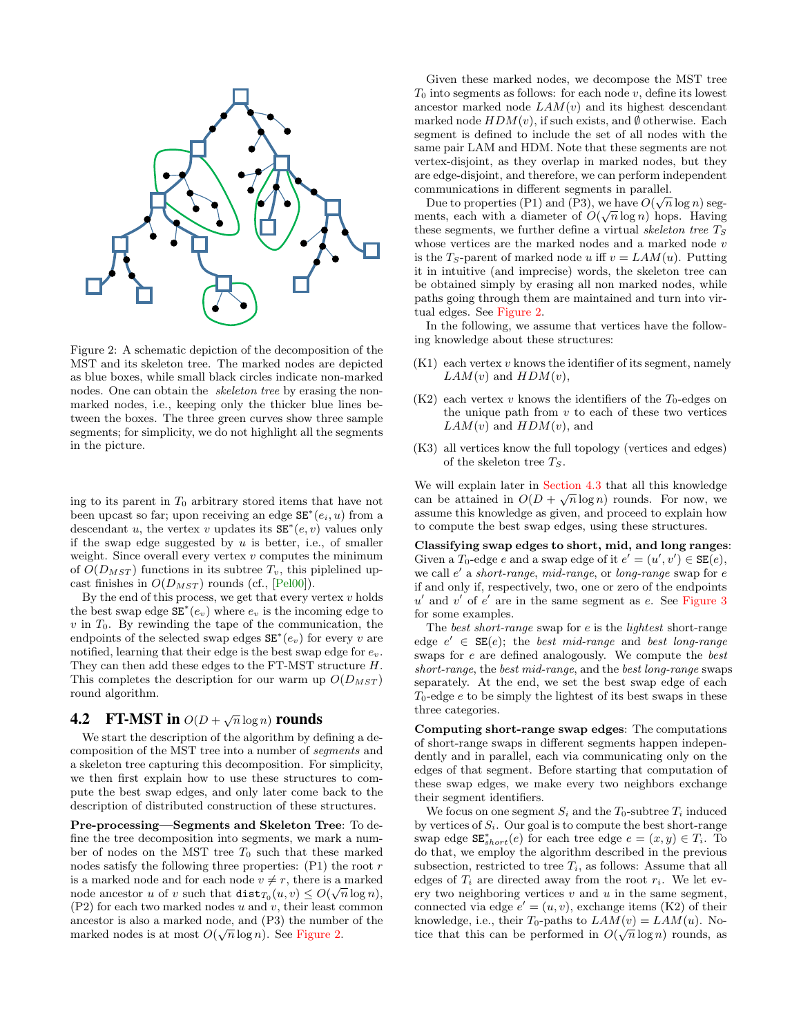<span id="page-5-0"></span>

Figure 2: A schematic depiction of the decomposition of the MST and its skeleton tree. The marked nodes are depicted as blue boxes, while small black circles indicate non-marked nodes. One can obtain the skeleton tree by erasing the nonmarked nodes, i.e., keeping only the thicker blue lines between the boxes. The three green curves show three sample segments; for simplicity, we do not highlight all the segments in the picture.

ing to its parent in  $T_0$  arbitrary stored items that have not been upcast so far; upon receiving an edge  $SE^*(e_i, u)$  from a descendant u, the vertex v updates its  $SE^*(e, v)$  values only if the swap edge suggested by  $u$  is better, i.e., of smaller weight. Since overall every vertex  $v$  computes the minimum of  $O(D_{MST})$  functions in its subtree  $T_v$ , this piplelined upcast finishes in  $O(D_{MST})$  rounds (cf., [\[Pel00\]](#page-9-3)).

By the end of this process, we get that every vertex  $v$  holds the best swap edge  $SE^*(e_v)$  where  $e_v$  is the incoming edge to  $v$  in  $T_0$ . By rewinding the tape of the communication, the endpoints of the selected swap edges  $SE^*(e_v)$  for every v are notified, learning that their edge is the best swap edge for  $e_v$ . They can then add these edges to the FT-MST structure H. This completes the description for our warm up  $O(D_{MST})$ round algorithm.

## **4.2** FT-MST in  $O(D + \sqrt{n} \log n)$  rounds

We start the description of the algorithm by defining a decomposition of the MST tree into a number of segments and a skeleton tree capturing this decomposition. For simplicity, we then first explain how to use these structures to compute the best swap edges, and only later come back to the description of distributed construction of these structures.

Pre-processing—Segments and Skeleton Tree: To define the tree decomposition into segments, we mark a number of nodes on the MST tree  $T_0$  such that these marked nodes satisfy the following three properties:  $(P1)$  the root r is a marked node and for each node  $v \neq r$ , there is a marked node ancestor u of v such that  $\texttt{dist}_{T_0}(u, v) \le O(\sqrt{n}\log n),$  $(P2)$  for each two marked nodes u and v, their least common ancestor is also a marked node, and  $(P3)$  the number of the marked nodes is at most  $O(\sqrt{n}\log n)$ . See [Figure 2.](#page-5-0)

Given these marked nodes, we decompose the MST tree  $T_0$  into segments as follows: for each node v, define its lowest ancestor marked node  $LAM(v)$  and its highest descendant marked node  $HDM(v)$ , if such exists, and  $\emptyset$  otherwise. Each segment is defined to include the set of all nodes with the same pair LAM and HDM. Note that these segments are not vertex-disjoint, as they overlap in marked nodes, but they are edge-disjoint, and therefore, we can perform independent communications in different segments in parallel.

Due to properties (P1) and (P3), we have  $O(\sqrt{n}\log n)$  segments, each with a diameter of  $O(\sqrt{n}\log n)$  hops. Having these segments, we further define a virtual skeleton tree  $T<sub>S</sub>$ whose vertices are the marked nodes and a marked node  $v$ is the T<sub>S</sub>-parent of marked node u iff  $v = LAM(u)$ . Putting it in intuitive (and imprecise) words, the skeleton tree can be obtained simply by erasing all non marked nodes, while paths going through them are maintained and turn into virtual edges. See [Figure 2.](#page-5-0)

In the following, we assume that vertices have the following knowledge about these structures:

- $(K1)$  each vertex v knows the identifier of its segment, namely  $LAM(v)$  and  $HDM(v)$ ,
- $(K2)$  each vertex v knows the identifiers of the  $T_0$ -edges on the unique path from  $v$  to each of these two vertices  $LAM(v)$  and  $HDM(v)$ , and
- (K3) all vertices know the full topology (vertices and edges) of the skeleton tree  $T_S$ .

We will explain later in [Section 4.3](#page-7-0) that all this knowledge can be attained in  $O(D + \sqrt{n} \log n)$  rounds. For now, we assume this knowledge as given, and proceed to explain how to compute the best swap edges, using these structures.

Classifying swap edges to short, mid, and long ranges: Given a  $T_0$ -edge e and a swap edge of it  $e' = (u', v') \in SE(e)$ , we call  $e'$  a short-range, mid-range, or long-range swap for  $e$ if and only if, respectively, two, one or zero of the endpoints  $u'$  and  $v'$  of  $e'$  are in the same segment as e. See [Figure 3](#page-6-0) for some examples.

The best short-range swap for e is the lightest short-range edge  $e' \in SE(e)$ ; the best mid-range and best long-range swaps for e are defined analogously. We compute the best short-range, the best mid-range, and the best long-range swaps separately. At the end, we set the best swap edge of each  $T_0$ -edge  $e$  to be simply the lightest of its best swaps in these three categories.

Computing short-range swap edges: The computations of short-range swaps in different segments happen independently and in parallel, each via communicating only on the edges of that segment. Before starting that computation of these swap edges, we make every two neighbors exchange their segment identifiers.

We focus on one segment  $S_i$  and the  $T_0$ -subtree  $T_i$  induced by vertices of  $S_i$ . Our goal is to compute the best short-range swap edge  $SE_{short}^{*}(e)$  for each tree edge  $e = (x, y) \in T_i$ . To do that, we employ the algorithm described in the previous subsection, restricted to tree  $T_i$ , as follows: Assume that all edges of  $T_i$  are directed away from the root  $r_i$ . We let every two neighboring vertices  $v$  and  $u$  in the same segment, connected via edge  $e' = (u, v)$ , exchange items (K2) of their knowledge, i.e., their  $T_0$ -paths to  $LAM(v) = LAM(u)$ . Notice that this can be performed in  $O(\sqrt{n}\log n)$  rounds, as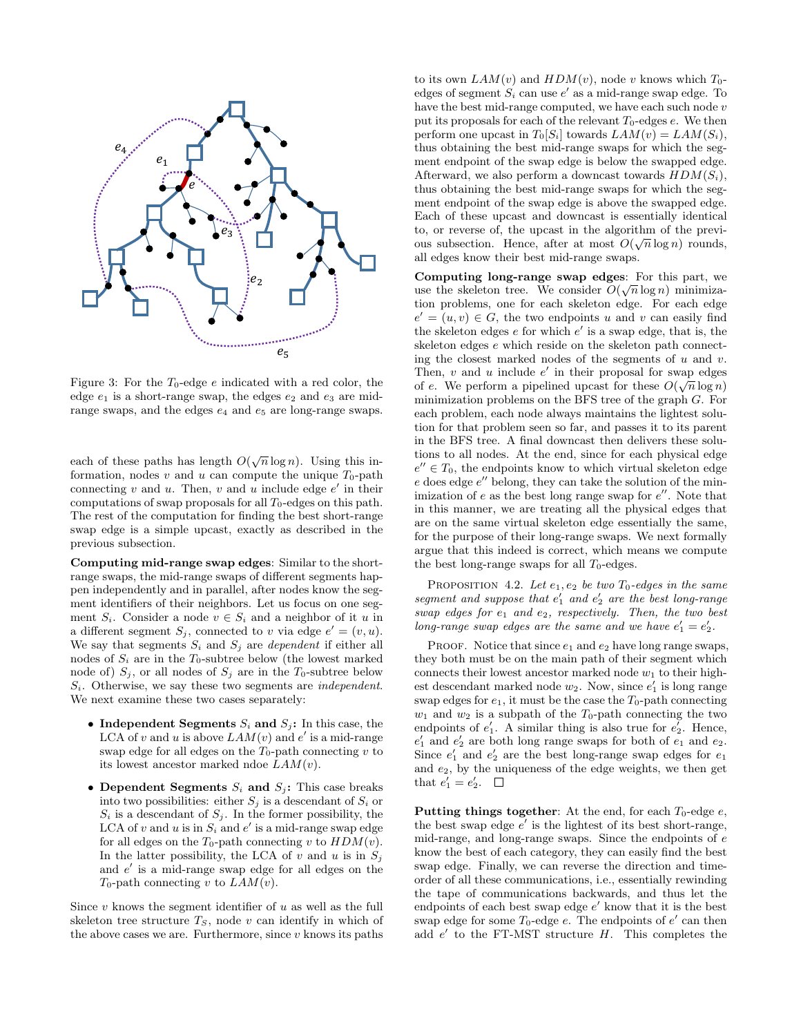<span id="page-6-0"></span>

Figure 3: For the  $T_0$ -edge e indicated with a red color, the edge  $e_1$  is a short-range swap, the edges  $e_2$  and  $e_3$  are midrange swaps, and the edges  $e_4$  and  $e_5$  are long-range swaps.

each of these paths has length  $O(\sqrt{n}\log n)$ . Using this information, nodes v and u can compute the unique  $T_0$ -path connecting  $v$  and  $u$ . Then,  $v$  and  $u$  include edge  $e'$  in their computations of swap proposals for all  $T_0$ -edges on this path. The rest of the computation for finding the best short-range swap edge is a simple upcast, exactly as described in the previous subsection.

Computing mid-range swap edges: Similar to the shortrange swaps, the mid-range swaps of different segments happen independently and in parallel, after nodes know the segment identifiers of their neighbors. Let us focus on one segment  $S_i$ . Consider a node  $v \in S_i$  and a neighbor of it u in a different segment  $S_j$ , connected to v via edge  $e' = (v, u)$ . We say that segments  $S_i$  and  $S_j$  are *dependent* if either all nodes of  $S_i$  are in the  $T_0$ -subtree below (the lowest marked node of)  $S_i$ , or all nodes of  $S_i$  are in the  $T_0$ -subtree below  $S_i$ . Otherwise, we say these two segments are *independent*. We next examine these two cases separately:

- Independent Segments  $S_i$  and  $S_j$ : In this case, the LCA of v and u is above  $LAM(v)$  and e' is a mid-range swap edge for all edges on the  $T_0$ -path connecting v to its lowest ancestor marked ndoe  $LAM(v)$ .
- Dependent Segments  $S_i$  and  $S_j$ : This case breaks into two possibilities: either  $S_i$  is a descendant of  $S_i$  or  $S_i$  is a descendant of  $S_j$ . In the former possibility, the LCA of v and u is in  $S_i$  and e' is a mid-range swap edge for all edges on the  $T_0$ -path connecting v to  $HDM(v)$ . In the latter possibility, the LCA of v and u is in  $S_i$ and  $e'$  is a mid-range swap edge for all edges on the  $T_0$ -path connecting v to  $LAM(v)$ .

Since  $v$  knows the segment identifier of  $u$  as well as the full skeleton tree structure  $T_S$ , node v can identify in which of the above cases we are. Furthermore, since  $v$  knows its paths to its own  $LAM(v)$  and  $HDM(v)$ , node v knows which  $T_0$ edges of segment  $S_i$  can use  $e'$  as a mid-range swap edge. To have the best mid-range computed, we have each such node v put its proposals for each of the relevant  $T_0$ -edges  $e$ . We then perform one upcast in  $T_0[S_i]$  towards  $LAM(v) = LAM(S_i)$ , thus obtaining the best mid-range swaps for which the segment endpoint of the swap edge is below the swapped edge. Afterward, we also perform a downcast towards  $HDM(S_i)$ , thus obtaining the best mid-range swaps for which the segment endpoint of the swap edge is above the swapped edge. Each of these upcast and downcast is essentially identical to, or reverse of, the upcast in the algorithm of the previous subsection. Hence, after at most  $O(\sqrt{n}\log n)$  rounds, all edges know their best mid-range swaps.

Computing long-range swap edges: For this part, we use the skeleton tree. We consider  $O(\sqrt{n}\log n)$  minimization problems, one for each skeleton edge. For each edge  $e' = (u, v) \in G$ , the two endpoints u and v can easily find the skeleton edges  $e$  for which  $e'$  is a swap edge, that is, the skeleton edges e which reside on the skeleton path connecting the closest marked nodes of the segments of  $u$  and  $v$ . Then, v and u include e' in their proposal for swap edges of e. We perform a pipelined upcast for these  $O(\sqrt{n}\log n)$ minimization problems on the BFS tree of the graph G. For each problem, each node always maintains the lightest solution for that problem seen so far, and passes it to its parent in the BFS tree. A final downcast then delivers these solutions to all nodes. At the end, since for each physical edge  $e'' \in T_0$ , the endpoints know to which virtual skeleton edge  $e$  does edge  $e''$  belong, they can take the solution of the minimization of  $e$  as the best long range swap for  $e''$ . Note that in this manner, we are treating all the physical edges that are on the same virtual skeleton edge essentially the same, for the purpose of their long-range swaps. We next formally argue that this indeed is correct, which means we compute the best long-range swaps for all  $T_0$ -edges.

PROPOSITION 4.2. Let  $e_1, e_2$  be two  $T_0$ -edges in the same segment and suppose that  $e'_1$  and  $e'_2$  are the best long-range swap edges for  $e_1$  and  $e_2$ , respectively. Then, the two best long-range swap edges are the same and we have  $e'_1 = e'_2$ .

PROOF. Notice that since  $e_1$  and  $e_2$  have long range swaps, they both must be on the main path of their segment which connects their lowest ancestor marked node  $w_1$  to their highest descendant marked node  $w_2$ . Now, since  $e'_1$  is long range swap edges for  $e_1$ , it must be the case the  $T_0$ -path connecting  $w_1$  and  $w_2$  is a subpath of the  $T_0$ -path connecting the two endpoints of  $e'_1$ . A similar thing is also true for  $e'_2$ . Hence,  $e'_1$  and  $e'_2$  are both long range swaps for both of  $e_1$  and  $e_2$ . Since  $e'_1$  and  $e'_2$  are the best long-range swap edges for  $e_1$ and e2, by the uniqueness of the edge weights, we then get that  $e'_1 = e'_2$ .

Putting things together: At the end, for each  $T_0$ -edge  $e$ , the best swap edge  $e'$  is the lightest of its best short-range, mid-range, and long-range swaps. Since the endpoints of e know the best of each category, they can easily find the best swap edge. Finally, we can reverse the direction and timeorder of all these communications, i.e., essentially rewinding the tape of communications backwards, and thus let the endpoints of each best swap edge  $e'$  know that it is the best swap edge for some  $T_0$ -edge e. The endpoints of  $e'$  can then add  $e'$  to the FT-MST structure  $H$ . This completes the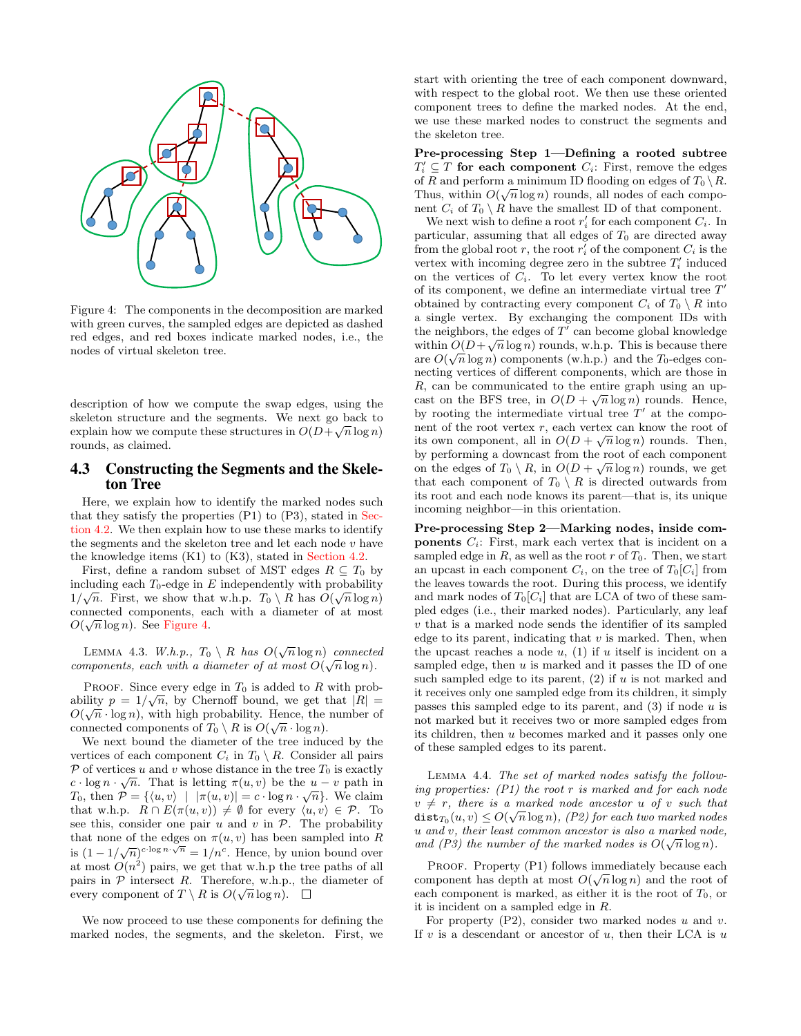<span id="page-7-1"></span>

Figure 4: The components in the decomposition are marked with green curves, the sampled edges are depicted as dashed red edges, and red boxes indicate marked nodes, i.e., the nodes of virtual skeleton tree.

description of how we compute the swap edges, using the skeleton structure and the segments. We next go back to explain how we compute these structures in  $O(D+\sqrt{n}\log n)$ rounds, as claimed.

#### <span id="page-7-0"></span>4.3 Constructing the Segments and the Skeleton Tree

Here, we explain how to identify the marked nodes such that they satisfy the properties (P1) to (P3), stated in [Sec](#page-5-0)[tion 4.2.](#page-5-0) We then explain how to use these marks to identify the segments and the skeleton tree and let each node  $v$  have the knowledge items (K1) to (K3), stated in [Section 4.2.](#page-5-0)

First, define a random subset of MST edges  $R \subseteq T_0$  by including each  $T_0$ -edge in E independently with probability  $1/\sqrt{n}$ . First, we show that w.h.p.  $T_0 \setminus R$  has  $O(\sqrt{n} \log n)$ connected components, each with a diameter of at most  $O(\sqrt{n}\log n)$ . See [Figure 4.](#page-7-1)

LEMMA 4.3. W.h.p.,  $T_0 \setminus R$  has  $O(\sqrt{n} \log n)$  connected components, each with a diameter of at most  $O(\sqrt{n}\log n)$ .

PROOF. Since every edge in  $T_0$  is added to R with probability  $p = 1/\sqrt{n}$ , by Chernoff bound, we get that  $|R| =$  $O(\sqrt{n} \cdot \log n)$ , with high probability. Hence, the number of connected components of  $T_0 \setminus R$  is  $O(\sqrt{n} \cdot \log n)$ .

We next bound the diameter of the tree induced by the vertices of each component  $C_i$  in  $T_0 \setminus R$ . Consider all pairs  $\mathcal{P}$  of vertices u and v whose distance in the tree  $T_0$  is exactly  $c \cdot \log n \cdot \sqrt{n}$ . That is letting  $\pi(u, v)$  be the  $u - v$  path in  $T_0$ , then  $P = \{ \langle u, v \rangle \mid |\pi(u, v)| = c \cdot \log n \cdot \sqrt{n} \}.$  We claim that w.h.p.  $R \cap E(\pi(u, v)) \neq \emptyset$  for every  $\langle u, v \rangle \in \mathcal{P}$ . To see this, consider one pair  $u$  and  $v$  in  $P$ . The probability that none of the edges on  $\pi(u, v)$  has been sampled into R is  $(1 - 1/\sqrt{n})^{c \cdot \log n \cdot \sqrt{n}} = 1/n^c$ . Hence, by union bound over at most  $O(n^2)$  pairs, we get that w.h.p the tree paths of all pairs in  $P$  intersect R. Therefore, w.h.p., the diameter of every component of  $T \setminus R$  is  $O(\sqrt{n} \log n)$ .

We now proceed to use these components for defining the marked nodes, the segments, and the skeleton. First, we start with orienting the tree of each component downward, with respect to the global root. We then use these oriented component trees to define the marked nodes. At the end, we use these marked nodes to construct the segments and the skeleton tree.

Pre-processing Step 1—Defining a rooted subtree  $T'_i \subseteq T$  for each component  $C_i$ : First, remove the edges of R and perform a minimum ID flooding on edges of  $T_0 \setminus R$ . Thus, within  $O(\sqrt{n}\log n)$  rounds, all nodes of each component  $C_i$  of  $T_0 \setminus R$  have the smallest ID of that component.

We next wish to define a root  $r_i'$  for each component  $C_i$ . In particular, assuming that all edges of  $T_0$  are directed away from the global root  $r$ , the root  $r'_i$  of the component  $C_i$  is the vertex with incoming degree zero in the subtree  $T_i'$  induced on the vertices of  $C_i$ . To let every vertex know the root of its component, we define an intermediate virtual tree  $T'$ obtained by contracting every component  $C_i$  of  $T_0 \setminus R$  into a single vertex. By exchanging the component IDs with the neighbors, the edges of  $T^{\tau}$  can become global knowledge within  $O(D+\sqrt{n}\log n)$  rounds, w.h.p. This is because there are  $O(\sqrt{n}\log n)$  components (w.h.p.) and the  $T_0$ -edges connecting vertices of different components, which are those in R, can be communicated to the entire graph using an upcast on the BFS tree, in  $O(D + \sqrt{n} \log n)$  rounds. Hence, by rooting the intermediate virtual tree  $T'$  at the component of the root vertex  $r$ , each vertex can know the root of its own component, all in  $O(D + \sqrt{n} \log n)$  rounds. Then, by performing a downcast from the root of each component on the edges of  $T_0 \setminus R$ , in  $O(D + \sqrt{n} \log n)$  rounds, we get that each component of  $T_0 \setminus R$  is directed outwards from its root and each node knows its parent—that is, its unique incoming neighbor—in this orientation.

Pre-processing Step 2—Marking nodes, inside com**ponents**  $C_i$ : First, mark each vertex that is incident on a sampled edge in  $R$ , as well as the root  $r$  of  $T_0$ . Then, we start an upcast in each component  $C_i$ , on the tree of  $T_0[C_i]$  from the leaves towards the root. During this process, we identify and mark nodes of  $T_0[C_i]$  that are LCA of two of these sampled edges (i.e., their marked nodes). Particularly, any leaf  $v$  that is a marked node sends the identifier of its sampled edge to its parent, indicating that  $v$  is marked. Then, when the upcast reaches a node  $u$ , (1) if  $u$  itself is incident on a sampled edge, then  $u$  is marked and it passes the ID of one such sampled edge to its parent,  $(2)$  if u is not marked and it receives only one sampled edge from its children, it simply passes this sampled edge to its parent, and  $(3)$  if node u is not marked but it receives two or more sampled edges from its children, then u becomes marked and it passes only one of these sampled edges to its parent.

Lemma 4.4. The set of marked nodes satisfy the following properties:  $(P1)$  the root r is marked and for each node  $v \neq r$ , there is a marked node ancestor u of v such that  $\texttt{dist}_{T_0}(u, v) \leq O(\sqrt{n}\log n), \text{ } (P2) \text{ for each two marked nodes}$ u and v, their least common ancestor is also a marked node, and (P3) the number of the marked nodes is  $O(\sqrt{n}\log n)$ .

PROOF. Property  $(P1)$  follows immediately because each component has depth at most  $O(\sqrt{n}\log n)$  and the root of each component is marked, as either it is the root of  $T_0$ , or it is incident on a sampled edge in R.

For property  $(P2)$ , consider two marked nodes u and v. If  $v$  is a descendant or ancestor of  $u$ , then their LCA is  $u$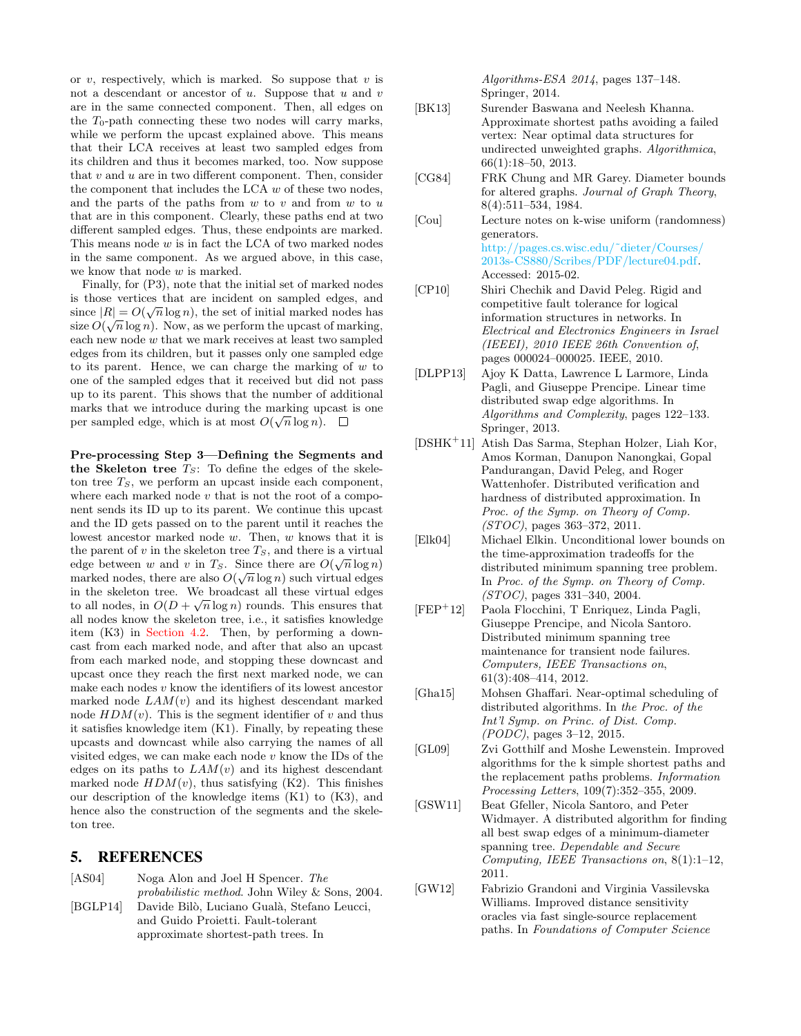or  $v$ , respectively, which is marked. So suppose that  $v$  is not a descendant or ancestor of  $u$ . Suppose that  $u$  and  $v$ are in the same connected component. Then, all edges on the  $T_0$ -path connecting these two nodes will carry marks, while we perform the upcast explained above. This means that their LCA receives at least two sampled edges from its children and thus it becomes marked, too. Now suppose that  $v$  and  $u$  are in two different component. Then, consider the component that includes the LCA  $w$  of these two nodes, and the parts of the paths from  $w$  to  $v$  and from  $w$  to  $u$ that are in this component. Clearly, these paths end at two different sampled edges. Thus, these endpoints are marked. This means node  $w$  is in fact the LCA of two marked nodes in the same component. As we argued above, in this case, we know that node w is marked.

Finally, for (P3), note that the initial set of marked nodes is those vertices that are incident on sampled edges, and  $\mathbb{R}^d \times \mathbb{R}^d$ since  $|R| = O(\sqrt{n} \log n)$ , the set of initial marked nodes has size  $O(\sqrt{n}\log n)$ . Now, as we perform the upcast of marking, each new node w that we mark receives at least two sampled edges from its children, but it passes only one sampled edge to its parent. Hence, we can charge the marking of  $w$  to one of the sampled edges that it received but did not pass up to its parent. This shows that the number of additional marks that we introduce during the marking upcast is one per sampled edge, which is at most  $O(\sqrt{n}\log n)$ .

Pre-processing Step 3—Defining the Segments and the Skeleton tree  $T_S$ : To define the edges of the skeleton tree  $T<sub>S</sub>$ , we perform an upcast inside each component, where each marked node  $v$  that is not the root of a component sends its ID up to its parent. We continue this upcast and the ID gets passed on to the parent until it reaches the lowest ancestor marked node w. Then, w knows that it is the parent of v in the skeleton tree  $T_S$ , and there is a virtual edge between w and v in  $T_S$ . Since there are  $O(\sqrt{n}\log n)$ marked nodes, there are also  $O(\sqrt{n}\log n)$  such virtual edges in the skeleton tree. We broadcast all these virtual edges √ to all nodes, in  $O(D + \sqrt{n} \log n)$  rounds. This ensures that all nodes know the skeleton tree, i.e., it satisfies knowledge item (K3) in [Section 4.2.](#page-5-0) Then, by performing a downcast from each marked node, and after that also an upcast from each marked node, and stopping these downcast and upcast once they reach the first next marked node, we can make each nodes  $v$  know the identifiers of its lowest ancestor marked node  $LAM(v)$  and its highest descendant marked node  $HDM(v)$ . This is the segment identifier of v and thus it satisfies knowledge item (K1). Finally, by repeating these upcasts and downcast while also carrying the names of all visited edges, we can make each node  $v$  know the IDs of the edges on its paths to  $LAM(v)$  and its highest descendant marked node  $HDM(v)$ , thus satisfying (K2). This finishes our description of the knowledge items (K1) to (K3), and hence also the construction of the segments and the skeleton tree.

#### 5. REFERENCES

<span id="page-8-12"></span>

| [AS04]   | Noga Alon and Joel H Spencer. The                     |
|----------|-------------------------------------------------------|
|          | <i>probabilistic method.</i> John Wiley & Sons, 2004. |
| [BGLP14] | Davide Bilò, Luciano Gualà, Stefano Leucci,           |

<span id="page-8-3"></span>and Guido Proietti. Fault-tolerant approximate shortest-path trees. In

Algorithms-ESA 2014, pages 137–148. Springer, 2014.

- <span id="page-8-2"></span>[BK13] Surender Baswana and Neelesh Khanna. Approximate shortest paths avoiding a failed vertex: Near optimal data structures for undirected unweighted graphs. Algorithmica, 66(1):18–50, 2013.
- <span id="page-8-11"></span>[CG84] FRK Chung and MR Garey. Diameter bounds for altered graphs. Journal of Graph Theory, 8(4):511–534, 1984.
- <span id="page-8-13"></span>[Cou] Lecture notes on k-wise uniform (randomness) generators. [http://pages.cs.wisc.edu/˜dieter/Courses/](http://pages.cs.wisc.edu/~dieter/Courses/2013s-CS880/Scribes/PDF/lecture04.pdf) [2013s-CS880/Scribes/PDF/lecture04.pdf.](http://pages.cs.wisc.edu/~dieter/Courses/2013s-CS880/Scribes/PDF/lecture04.pdf) Accessed: 2015-02.
- <span id="page-8-0"></span>[CP10] Shiri Chechik and David Peleg. Rigid and competitive fault tolerance for logical information structures in networks. In Electrical and Electronics Engineers in Israel (IEEEI), 2010 IEEE 26th Convention of, pages 000024–000025. IEEE, 2010.
- <span id="page-8-8"></span>[DLPP13] Ajoy K Datta, Lawrence L Larmore, Linda Pagli, and Giuseppe Prencipe. Linear time distributed swap edge algorithms. In Algorithms and Complexity, pages 122–133. Springer, 2013.
- <span id="page-8-4"></span>[DSHK<sup>+</sup>11] Atish Das Sarma, Stephan Holzer, Liah Kor, Amos Korman, Danupon Nanongkai, Gopal Pandurangan, David Peleg, and Roger Wattenhofer. Distributed verification and hardness of distributed approximation. In Proc. of the Symp. on Theory of Comp. (STOC), pages 363–372, 2011.
- <span id="page-8-5"></span>[Elk04] Michael Elkin. Unconditional lower bounds on the time-approximation tradeoffs for the distributed minimum spanning tree problem. In Proc. of the Symp. on Theory of Comp. (STOC), pages 331–340, 2004.
- <span id="page-8-7"></span>[FEP<sup>+</sup>12] Paola Flocchini, T Enriquez, Linda Pagli, Giuseppe Prencipe, and Nicola Santoro. Distributed minimum spanning tree maintenance for transient node failures. Computers, IEEE Transactions on, 61(3):408–414, 2012.
- <span id="page-8-10"></span>[Gha15] Mohsen Ghaffari. Near-optimal scheduling of distributed algorithms. In the Proc. of the Int'l Symp. on Princ. of Dist. Comp. (PODC), pages 3–12, 2015.
- <span id="page-8-6"></span>[GL09] Zvi Gotthilf and Moshe Lewenstein. Improved algorithms for the k simple shortest paths and the replacement paths problems. Information Processing Letters, 109(7):352–355, 2009.
- <span id="page-8-9"></span>[GSW11] Beat Gfeller, Nicola Santoro, and Peter Widmayer. A distributed algorithm for finding all best swap edges of a minimum-diameter spanning tree. Dependable and Secure Computing, IEEE Transactions on, 8(1):1–12, 2011.
- <span id="page-8-1"></span>[GW12] Fabrizio Grandoni and Virginia Vassilevska Williams. Improved distance sensitivity oracles via fast single-source replacement paths. In Foundations of Computer Science